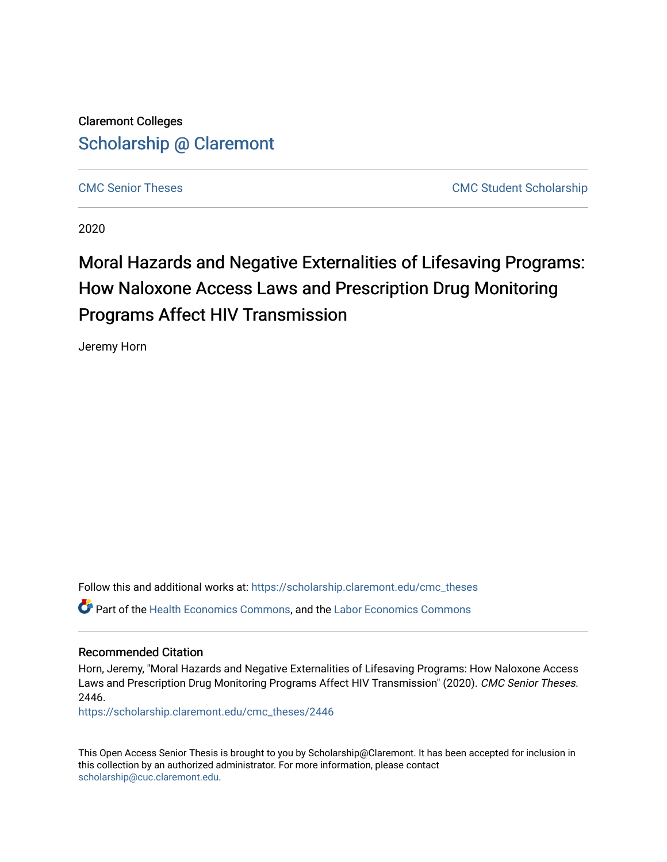Claremont Colleges [Scholarship @ Claremont](https://scholarship.claremont.edu/) 

[CMC Senior Theses](https://scholarship.claremont.edu/cmc_theses) [CMC Student Scholarship](https://scholarship.claremont.edu/cmc_student) 

2020

# Moral Hazards and Negative Externalities of Lifesaving Programs: How Naloxone Access Laws and Prescription Drug Monitoring Programs Affect HIV Transmission

Jeremy Horn

Follow this and additional works at: [https://scholarship.claremont.edu/cmc\\_theses](https://scholarship.claremont.edu/cmc_theses?utm_source=scholarship.claremont.edu%2Fcmc_theses%2F2446&utm_medium=PDF&utm_campaign=PDFCoverPages)  Part of the [Health Economics Commons,](http://network.bepress.com/hgg/discipline/1085?utm_source=scholarship.claremont.edu%2Fcmc_theses%2F2446&utm_medium=PDF&utm_campaign=PDFCoverPages) and the [Labor Economics Commons](http://network.bepress.com/hgg/discipline/349?utm_source=scholarship.claremont.edu%2Fcmc_theses%2F2446&utm_medium=PDF&utm_campaign=PDFCoverPages) 

#### Recommended Citation

Horn, Jeremy, "Moral Hazards and Negative Externalities of Lifesaving Programs: How Naloxone Access Laws and Prescription Drug Monitoring Programs Affect HIV Transmission" (2020). CMC Senior Theses. 2446.

[https://scholarship.claremont.edu/cmc\\_theses/2446](https://scholarship.claremont.edu/cmc_theses/2446?utm_source=scholarship.claremont.edu%2Fcmc_theses%2F2446&utm_medium=PDF&utm_campaign=PDFCoverPages) 

This Open Access Senior Thesis is brought to you by Scholarship@Claremont. It has been accepted for inclusion in this collection by an authorized administrator. For more information, please contact [scholarship@cuc.claremont.edu.](mailto:scholarship@cuc.claremont.edu)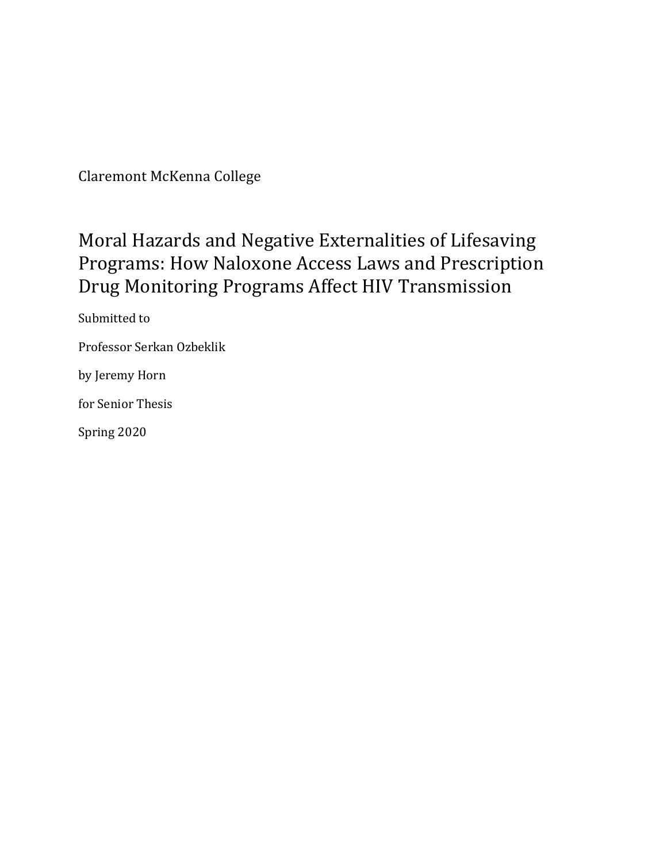Claremont McKenna College

# Moral Hazards and Negative Externalities of Lifesaving Programs: How Naloxone Access Laws and Prescription Drug Monitoring Programs Affect HIV Transmission

Submitted to Professor Serkan Ozbeklik by Jeremy Horn for Senior Thesis Spring 2020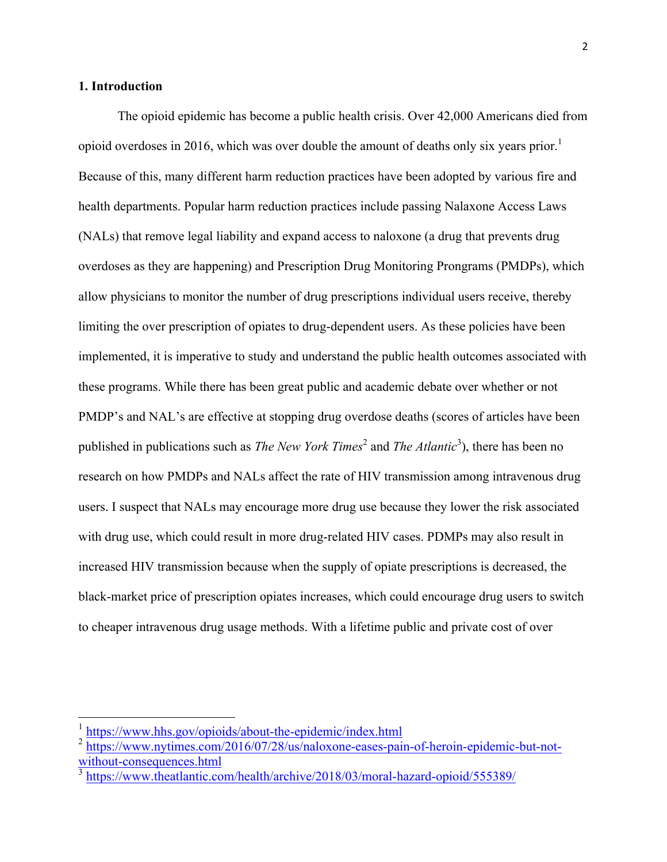### **1. Introduction**

The opioid epidemic has become a public health crisis. Over 42,000 Americans died from opioid overdoses in 2016, which was over double the amount of deaths only six years prior.<sup>1</sup> Because of this, many different harm reduction practices have been adopted by various fire and health departments. Popular harm reduction practices include passing Nalaxone Access Laws (NALs) that remove legal liability and expand access to naloxone (a drug that prevents drug overdoses as they are happening) and Prescription Drug Monitoring Prongrams (PMDPs), which allow physicians to monitor the number of drug prescriptions individual users receive, thereby limiting the over prescription of opiates to drug-dependent users. As these policies have been implemented, it is imperative to study and understand the public health outcomes associated with these programs. While there has been great public and academic debate over whether or not PMDP's and NAL's are effective at stopping drug overdose deaths (scores of articles have been published in publications such as *The New York Times*<sup>2</sup> and *The Atlantic*<sup>3</sup>), there has been no research on how PMDPs and NALs affect the rate of HIV transmission among intravenous drug users. I suspect that NALs may encourage more drug use because they lower the risk associated with drug use, which could result in more drug-related HIV cases. PDMPs may also result in increased HIV transmission because when the supply of opiate prescriptions is decreased, the black-market price of prescription opiates increases, which could encourage drug users to switch to cheaper intravenous drug usage methods. With a lifetime public and private cost of over

 <sup>1</sup> https://www.hhs.gov/opioids/about-the-epidemic/index.html

<sup>&</sup>lt;sup>2</sup> https://www.nytimes.com/2016/07/28/us/naloxone-eases-pain-of-heroin-epidemic-but-notwithout-consequences.html

<sup>&</sup>lt;sup>3</sup> https://www.theatlantic.com/health/archive/2018/03/moral-hazard-opioid/555389/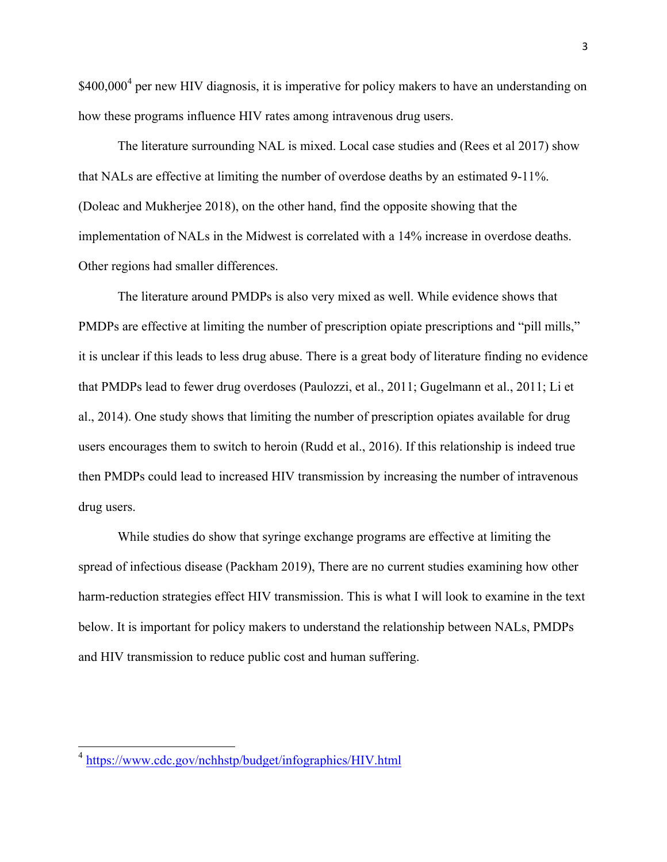$$400,000^4$  per new HIV diagnosis, it is imperative for policy makers to have an understanding on how these programs influence HIV rates among intravenous drug users.

The literature surrounding NAL is mixed. Local case studies and (Rees et al 2017) show that NALs are effective at limiting the number of overdose deaths by an estimated 9-11%. (Doleac and Mukherjee 2018), on the other hand, find the opposite showing that the implementation of NALs in the Midwest is correlated with a 14% increase in overdose deaths. Other regions had smaller differences.

The literature around PMDPs is also very mixed as well. While evidence shows that PMDPs are effective at limiting the number of prescription opiate prescriptions and "pill mills," it is unclear if this leads to less drug abuse. There is a great body of literature finding no evidence that PMDPs lead to fewer drug overdoses (Paulozzi, et al., 2011; Gugelmann et al., 2011; Li et al., 2014). One study shows that limiting the number of prescription opiates available for drug users encourages them to switch to heroin (Rudd et al., 2016). If this relationship is indeed true then PMDPs could lead to increased HIV transmission by increasing the number of intravenous drug users.

While studies do show that syringe exchange programs are effective at limiting the spread of infectious disease (Packham 2019), There are no current studies examining how other harm-reduction strategies effect HIV transmission. This is what I will look to examine in the text below. It is important for policy makers to understand the relationship between NALs, PMDPs and HIV transmission to reduce public cost and human suffering.

 <sup>4</sup> https://www.cdc.gov/nchhstp/budget/infographics/HIV.html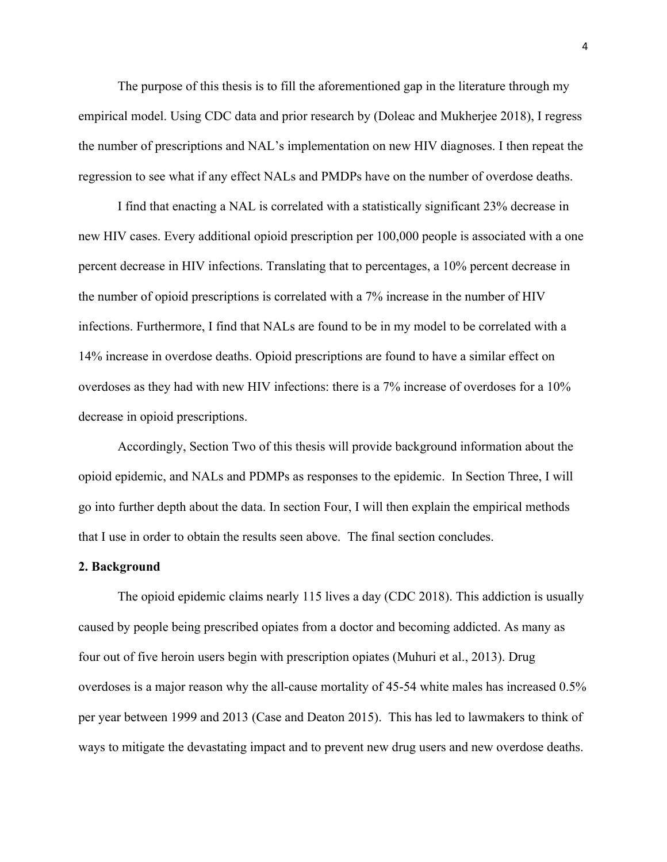The purpose of this thesis is to fill the aforementioned gap in the literature through my empirical model. Using CDC data and prior research by (Doleac and Mukherjee 2018), I regress the number of prescriptions and NAL's implementation on new HIV diagnoses. I then repeat the regression to see what if any effect NALs and PMDPs have on the number of overdose deaths.

I find that enacting a NAL is correlated with a statistically significant 23% decrease in new HIV cases. Every additional opioid prescription per 100,000 people is associated with a one percent decrease in HIV infections. Translating that to percentages, a 10% percent decrease in the number of opioid prescriptions is correlated with a 7% increase in the number of HIV infections. Furthermore, I find that NALs are found to be in my model to be correlated with a 14% increase in overdose deaths. Opioid prescriptions are found to have a similar effect on overdoses as they had with new HIV infections: there is a 7% increase of overdoses for a 10% decrease in opioid prescriptions.

Accordingly, Section Two of this thesis will provide background information about the opioid epidemic, and NALs and PDMPs as responses to the epidemic. In Section Three, I will go into further depth about the data. In section Four, I will then explain the empirical methods that I use in order to obtain the results seen above. The final section concludes.

#### **2. Background**

The opioid epidemic claims nearly 115 lives a day (CDC 2018). This addiction is usually caused by people being prescribed opiates from a doctor and becoming addicted. As many as four out of five heroin users begin with prescription opiates (Muhuri et al., 2013). Drug overdoses is a major reason why the all-cause mortality of 45-54 white males has increased 0.5% per year between 1999 and 2013 (Case and Deaton 2015). This has led to lawmakers to think of ways to mitigate the devastating impact and to prevent new drug users and new overdose deaths.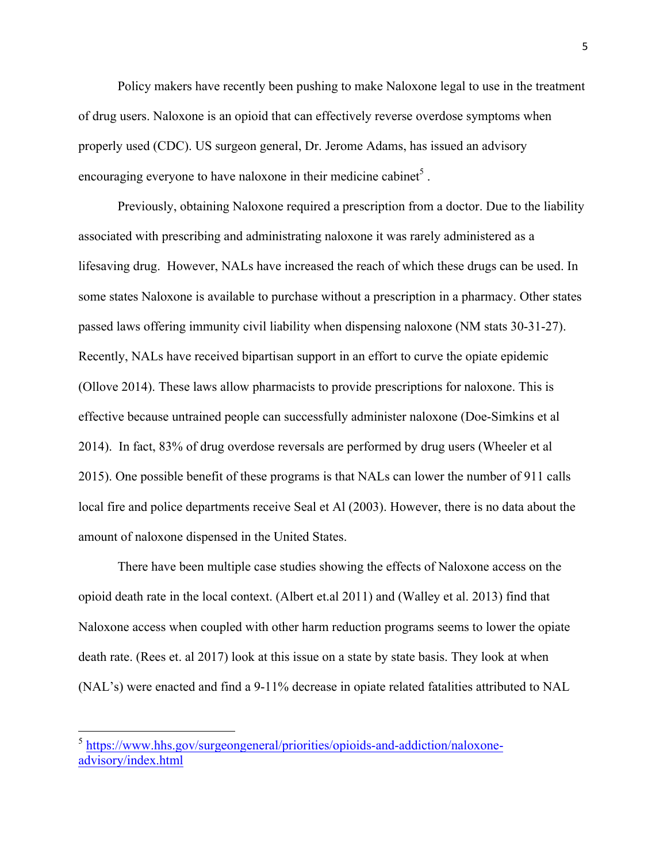Policy makers have recently been pushing to make Naloxone legal to use in the treatment of drug users. Naloxone is an opioid that can effectively reverse overdose symptoms when properly used (CDC). US surgeon general, Dr. Jerome Adams, has issued an advisory encouraging everyone to have naloxone in their medicine cabinet<sup>5</sup>.

Previously, obtaining Naloxone required a prescription from a doctor. Due to the liability associated with prescribing and administrating naloxone it was rarely administered as a lifesaving drug. However, NALs have increased the reach of which these drugs can be used. In some states Naloxone is available to purchase without a prescription in a pharmacy. Other states passed laws offering immunity civil liability when dispensing naloxone (NM stats 30-31-27). Recently, NALs have received bipartisan support in an effort to curve the opiate epidemic (Ollove 2014). These laws allow pharmacists to provide prescriptions for naloxone. This is effective because untrained people can successfully administer naloxone (Doe-Simkins et al 2014). In fact, 83% of drug overdose reversals are performed by drug users (Wheeler et al 2015). One possible benefit of these programs is that NALs can lower the number of 911 calls local fire and police departments receive Seal et Al (2003). However, there is no data about the amount of naloxone dispensed in the United States.

There have been multiple case studies showing the effects of Naloxone access on the opioid death rate in the local context. (Albert et.al 2011) and (Walley et al. 2013) find that Naloxone access when coupled with other harm reduction programs seems to lower the opiate death rate. (Rees et. al 2017) look at this issue on a state by state basis. They look at when (NAL's) were enacted and find a 9-11% decrease in opiate related fatalities attributed to NAL

 <sup>5</sup> https://www.hhs.gov/surgeongeneral/priorities/opioids-and-addiction/naloxoneadvisory/index.html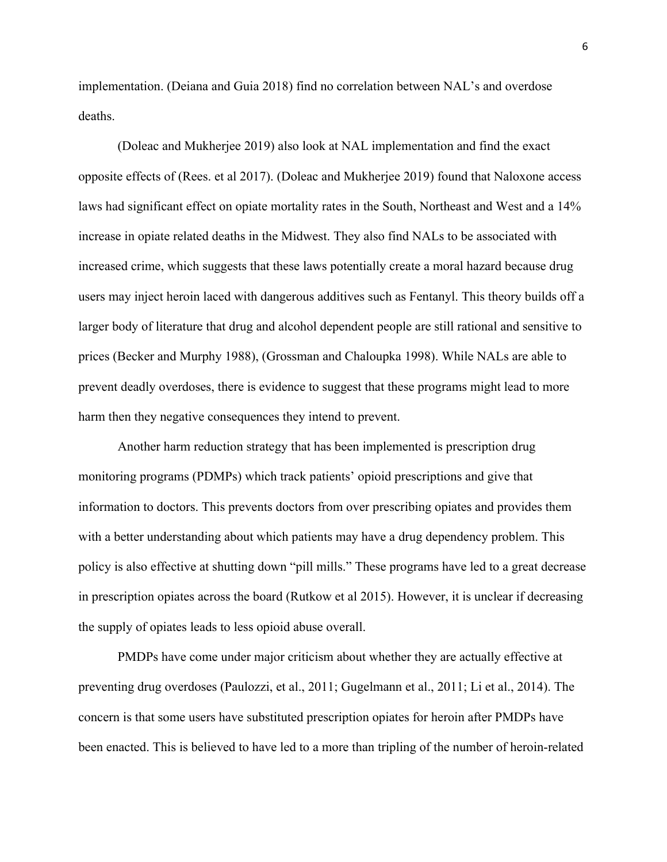implementation. (Deiana and Guia 2018) find no correlation between NAL's and overdose deaths.

(Doleac and Mukherjee 2019) also look at NAL implementation and find the exact opposite effects of (Rees. et al 2017). (Doleac and Mukherjee 2019) found that Naloxone access laws had significant effect on opiate mortality rates in the South, Northeast and West and a 14% increase in opiate related deaths in the Midwest. They also find NALs to be associated with increased crime, which suggests that these laws potentially create a moral hazard because drug users may inject heroin laced with dangerous additives such as Fentanyl. This theory builds off a larger body of literature that drug and alcohol dependent people are still rational and sensitive to prices (Becker and Murphy 1988), (Grossman and Chaloupka 1998). While NALs are able to prevent deadly overdoses, there is evidence to suggest that these programs might lead to more harm then they negative consequences they intend to prevent.

Another harm reduction strategy that has been implemented is prescription drug monitoring programs (PDMPs) which track patients' opioid prescriptions and give that information to doctors. This prevents doctors from over prescribing opiates and provides them with a better understanding about which patients may have a drug dependency problem. This policy is also effective at shutting down "pill mills." These programs have led to a great decrease in prescription opiates across the board (Rutkow et al 2015). However, it is unclear if decreasing the supply of opiates leads to less opioid abuse overall.

PMDPs have come under major criticism about whether they are actually effective at preventing drug overdoses (Paulozzi, et al., 2011; Gugelmann et al., 2011; Li et al., 2014). The concern is that some users have substituted prescription opiates for heroin after PMDPs have been enacted. This is believed to have led to a more than tripling of the number of heroin-related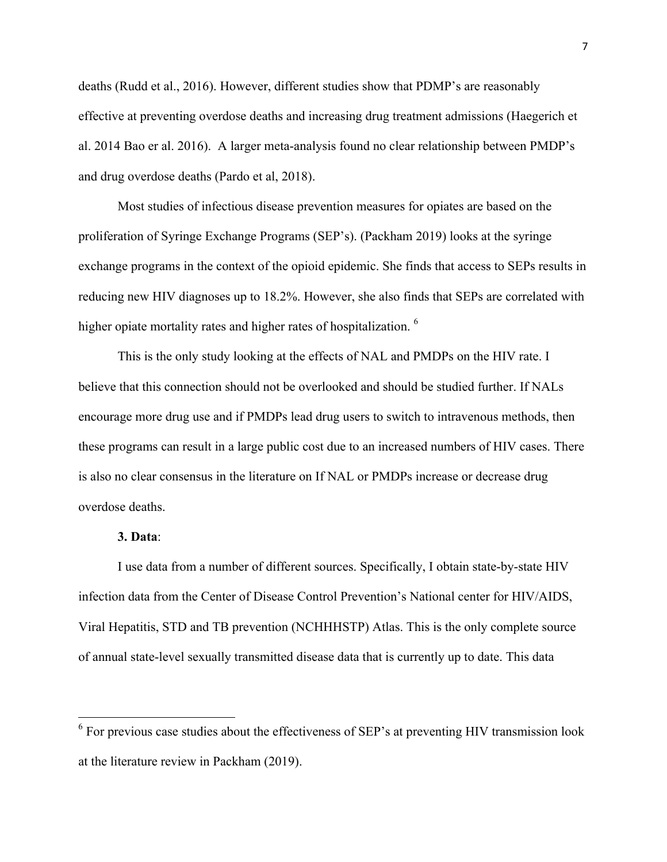deaths (Rudd et al., 2016). However, different studies show that PDMP's are reasonably effective at preventing overdose deaths and increasing drug treatment admissions (Haegerich et al. 2014 Bao er al. 2016). A larger meta-analysis found no clear relationship between PMDP's and drug overdose deaths (Pardo et al, 2018).

Most studies of infectious disease prevention measures for opiates are based on the proliferation of Syringe Exchange Programs (SEP's). (Packham 2019) looks at the syringe exchange programs in the context of the opioid epidemic. She finds that access to SEPs results in reducing new HIV diagnoses up to 18.2%. However, she also finds that SEPs are correlated with higher opiate mortality rates and higher rates of hospitalization. <sup>6</sup>

This is the only study looking at the effects of NAL and PMDPs on the HIV rate. I believe that this connection should not be overlooked and should be studied further. If NALs encourage more drug use and if PMDPs lead drug users to switch to intravenous methods, then these programs can result in a large public cost due to an increased numbers of HIV cases. There is also no clear consensus in the literature on If NAL or PMDPs increase or decrease drug overdose deaths.

#### **3. Data**:

I use data from a number of different sources. Specifically, I obtain state-by-state HIV infection data from the Center of Disease Control Prevention's National center for HIV/AIDS, Viral Hepatitis, STD and TB prevention (NCHHHSTP) Atlas. This is the only complete source of annual state-level sexually transmitted disease data that is currently up to date. This data

 $6$  For previous case studies about the effectiveness of SEP's at preventing HIV transmission look at the literature review in Packham (2019).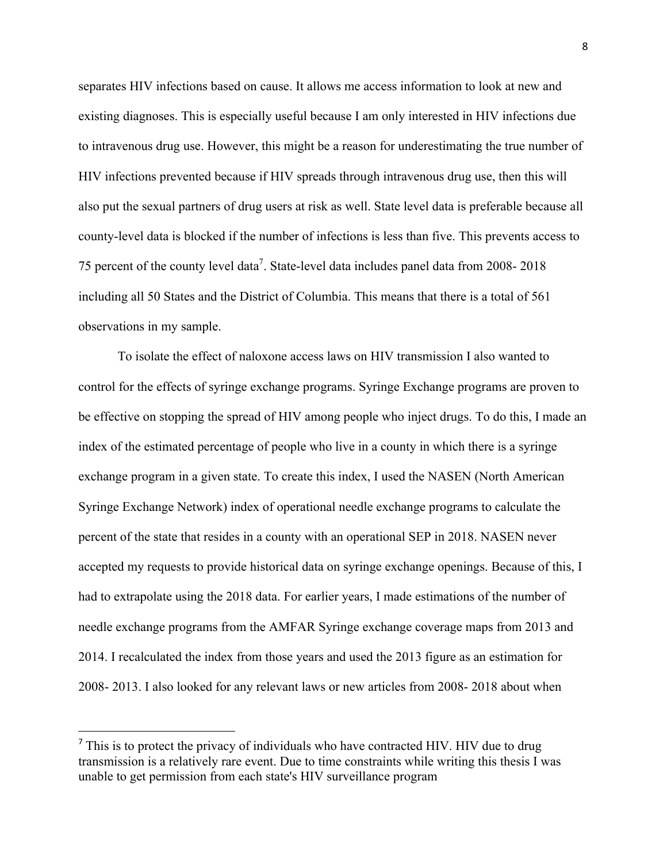separates HIV infections based on cause. It allows me access information to look at new and existing diagnoses. This is especially useful because I am only interested in HIV infections due to intravenous drug use. However, this might be a reason for underestimating the true number of HIV infections prevented because if HIV spreads through intravenous drug use, then this will also put the sexual partners of drug users at risk as well. State level data is preferable because all county-level data is blocked if the number of infections is less than five. This prevents access to 75 percent of the county level data<sup>7</sup>. State-level data includes panel data from 2008-2018 including all 50 States and the District of Columbia. This means that there is a total of 561 observations in my sample.

To isolate the effect of naloxone access laws on HIV transmission I also wanted to control for the effects of syringe exchange programs. Syringe Exchange programs are proven to be effective on stopping the spread of HIV among people who inject drugs. To do this, I made an index of the estimated percentage of people who live in a county in which there is a syringe exchange program in a given state. To create this index, I used the NASEN (North American Syringe Exchange Network) index of operational needle exchange programs to calculate the percent of the state that resides in a county with an operational SEP in 2018. NASEN never accepted my requests to provide historical data on syringe exchange openings. Because of this, I had to extrapolate using the 2018 data. For earlier years, I made estimations of the number of needle exchange programs from the AMFAR Syringe exchange coverage maps from 2013 and 2014. I recalculated the index from those years and used the 2013 figure as an estimation for 2008- 2013. I also looked for any relevant laws or new articles from 2008- 2018 about when

 $\overline{a}$ 

 $<sup>7</sup>$  This is to protect the privacy of individuals who have contracted HIV. HIV due to drug</sup> transmission is a relatively rare event. Due to time constraints while writing this thesis I was unable to get permission from each state's HIV surveillance program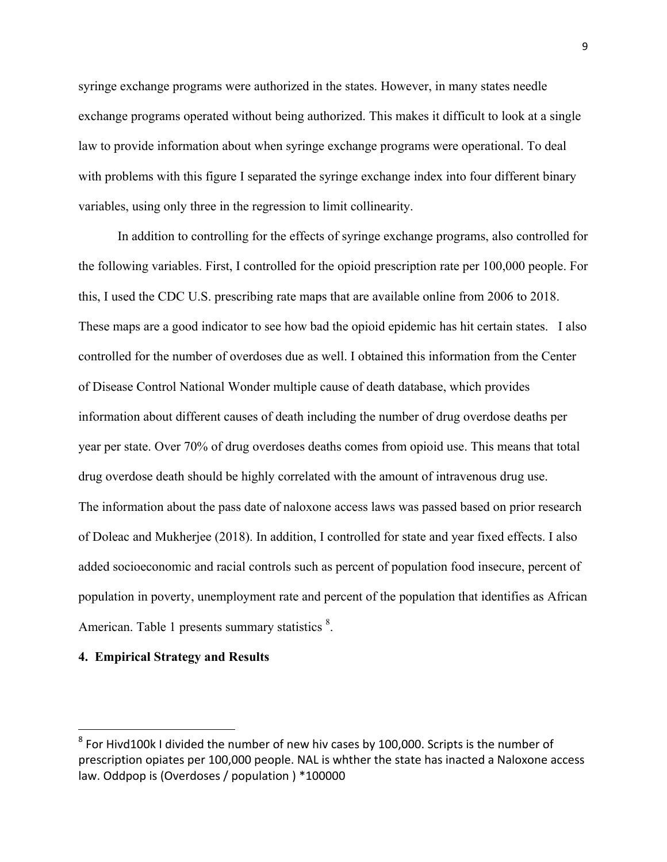syringe exchange programs were authorized in the states. However, in many states needle exchange programs operated without being authorized. This makes it difficult to look at a single law to provide information about when syringe exchange programs were operational. To deal with problems with this figure I separated the syringe exchange index into four different binary variables, using only three in the regression to limit collinearity.

In addition to controlling for the effects of syringe exchange programs, also controlled for the following variables. First, I controlled for the opioid prescription rate per 100,000 people. For this, I used the CDC U.S. prescribing rate maps that are available online from 2006 to 2018. These maps are a good indicator to see how bad the opioid epidemic has hit certain states. I also controlled for the number of overdoses due as well. I obtained this information from the Center of Disease Control National Wonder multiple cause of death database, which provides information about different causes of death including the number of drug overdose deaths per year per state. Over 70% of drug overdoses deaths comes from opioid use. This means that total drug overdose death should be highly correlated with the amount of intravenous drug use. The information about the pass date of naloxone access laws was passed based on prior research of Doleac and Mukherjee (2018). In addition, I controlled for state and year fixed effects. I also added socioeconomic and racial controls such as percent of population food insecure, percent of population in poverty, unemployment rate and percent of the population that identifies as African American. Table 1 presents summary statistics <sup>8</sup>.

#### **4. Empirical Strategy and Results**

 $\overline{a}$ 

 $8$  For Hivd100k I divided the number of new hiv cases by 100,000. Scripts is the number of prescription opiates per 100,000 people. NAL is whther the state has inacted a Naloxone access law. Oddpop is (Overdoses / population ) \*100000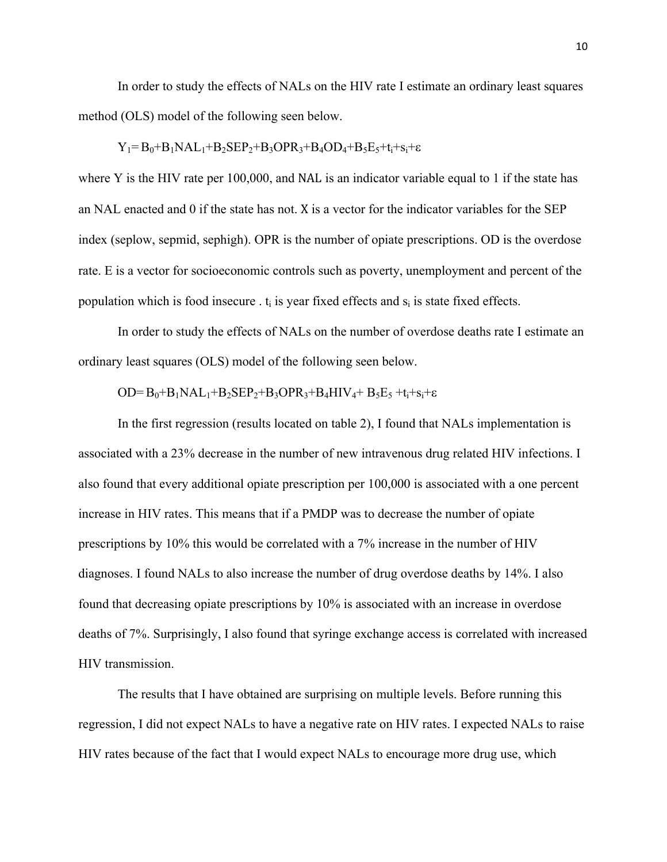In order to study the effects of NALs on the HIV rate I estimate an ordinary least squares method (OLS) model of the following seen below.

$$
Y_1 = B_0 + B_1 NAL_1 + B_2 SEP_2 + B_3OPR_3 + B_4 OD_4 + B_5E_5 + t_i + s_i + \epsilon
$$

where Y is the HIV rate per 100,000, and NAL is an indicator variable equal to 1 if the state has an NAL enacted and 0 if the state has not. X is a vector for the indicator variables for the SEP index (seplow, sepmid, sephigh). OPR is the number of opiate prescriptions. OD is the overdose rate. E is a vector for socioeconomic controls such as poverty, unemployment and percent of the population which is food insecure  $\cdot$  t<sub>i</sub> is year fixed effects and  $s_i$  is state fixed effects.

In order to study the effects of NALs on the number of overdose deaths rate I estimate an ordinary least squares (OLS) model of the following seen below.

$$
OD = B_0 + B_1 NAL_1 + B_2 SEP_2 + B_3OPR_3 + B_4HIV_4 + B_5E_5 + t_i + s_i + \epsilon
$$

In the first regression (results located on table 2), I found that NALs implementation is associated with a 23% decrease in the number of new intravenous drug related HIV infections. I also found that every additional opiate prescription per 100,000 is associated with a one percent increase in HIV rates. This means that if a PMDP was to decrease the number of opiate prescriptions by 10% this would be correlated with a 7% increase in the number of HIV diagnoses. I found NALs to also increase the number of drug overdose deaths by 14%. I also found that decreasing opiate prescriptions by 10% is associated with an increase in overdose deaths of 7%. Surprisingly, I also found that syringe exchange access is correlated with increased HIV transmission.

The results that I have obtained are surprising on multiple levels. Before running this regression, I did not expect NALs to have a negative rate on HIV rates. I expected NALs to raise HIV rates because of the fact that I would expect NALs to encourage more drug use, which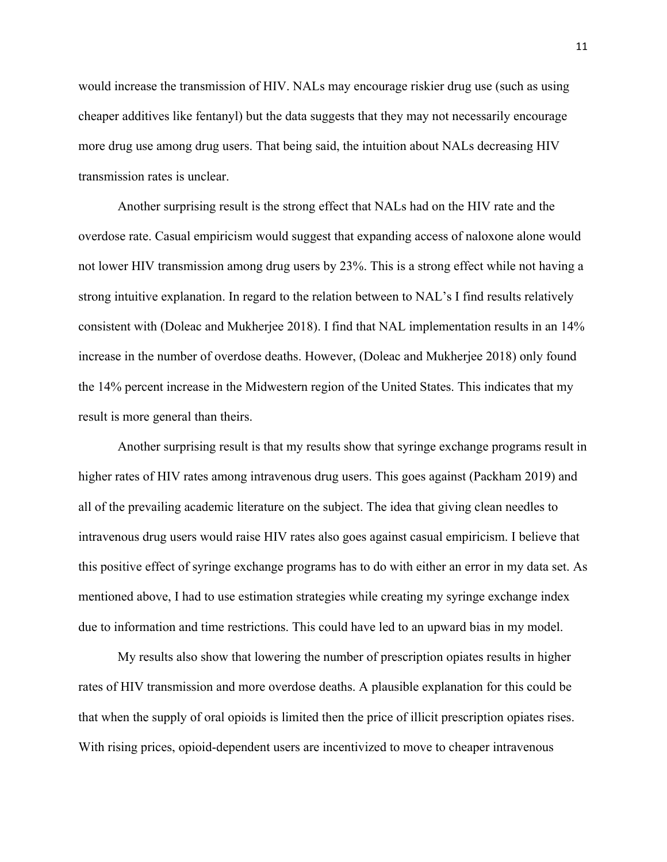would increase the transmission of HIV. NALs may encourage riskier drug use (such as using cheaper additives like fentanyl) but the data suggests that they may not necessarily encourage more drug use among drug users. That being said, the intuition about NALs decreasing HIV transmission rates is unclear.

Another surprising result is the strong effect that NALs had on the HIV rate and the overdose rate. Casual empiricism would suggest that expanding access of naloxone alone would not lower HIV transmission among drug users by 23%. This is a strong effect while not having a strong intuitive explanation. In regard to the relation between to NAL's I find results relatively consistent with (Doleac and Mukherjee 2018). I find that NAL implementation results in an 14% increase in the number of overdose deaths. However, (Doleac and Mukherjee 2018) only found the 14% percent increase in the Midwestern region of the United States. This indicates that my result is more general than theirs.

Another surprising result is that my results show that syringe exchange programs result in higher rates of HIV rates among intravenous drug users. This goes against (Packham 2019) and all of the prevailing academic literature on the subject. The idea that giving clean needles to intravenous drug users would raise HIV rates also goes against casual empiricism. I believe that this positive effect of syringe exchange programs has to do with either an error in my data set. As mentioned above, I had to use estimation strategies while creating my syringe exchange index due to information and time restrictions. This could have led to an upward bias in my model.

My results also show that lowering the number of prescription opiates results in higher rates of HIV transmission and more overdose deaths. A plausible explanation for this could be that when the supply of oral opioids is limited then the price of illicit prescription opiates rises. With rising prices, opioid-dependent users are incentivized to move to cheaper intravenous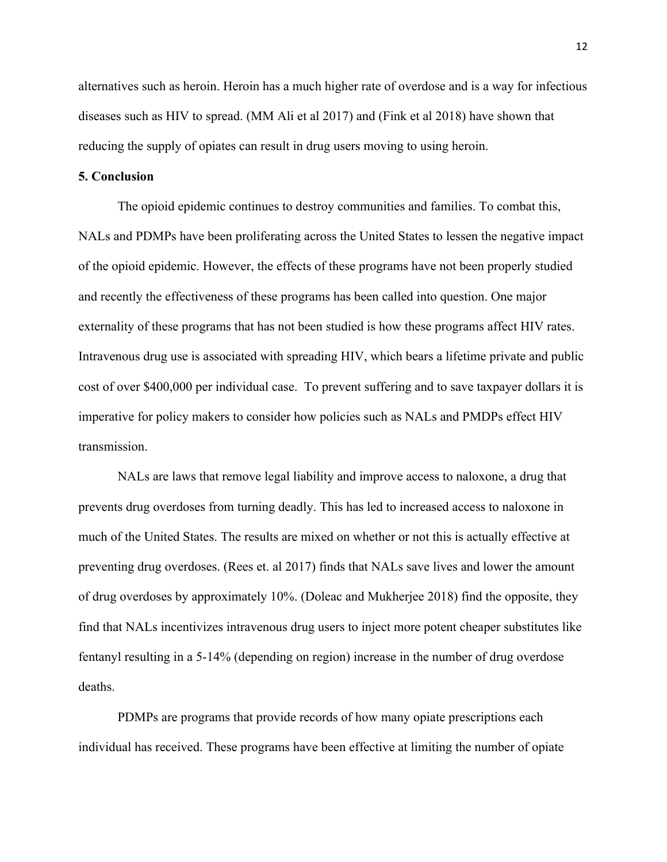alternatives such as heroin. Heroin has a much higher rate of overdose and is a way for infectious diseases such as HIV to spread. (MM Ali et al 2017) and (Fink et al 2018) have shown that reducing the supply of opiates can result in drug users moving to using heroin.

#### **5. Conclusion**

The opioid epidemic continues to destroy communities and families. To combat this, NALs and PDMPs have been proliferating across the United States to lessen the negative impact of the opioid epidemic. However, the effects of these programs have not been properly studied and recently the effectiveness of these programs has been called into question. One major externality of these programs that has not been studied is how these programs affect HIV rates. Intravenous drug use is associated with spreading HIV, which bears a lifetime private and public cost of over \$400,000 per individual case. To prevent suffering and to save taxpayer dollars it is imperative for policy makers to consider how policies such as NALs and PMDPs effect HIV transmission.

NALs are laws that remove legal liability and improve access to naloxone, a drug that prevents drug overdoses from turning deadly. This has led to increased access to naloxone in much of the United States. The results are mixed on whether or not this is actually effective at preventing drug overdoses. (Rees et. al 2017) finds that NALs save lives and lower the amount of drug overdoses by approximately 10%. (Doleac and Mukherjee 2018) find the opposite, they find that NALs incentivizes intravenous drug users to inject more potent cheaper substitutes like fentanyl resulting in a 5-14% (depending on region) increase in the number of drug overdose deaths.

PDMPs are programs that provide records of how many opiate prescriptions each individual has received. These programs have been effective at limiting the number of opiate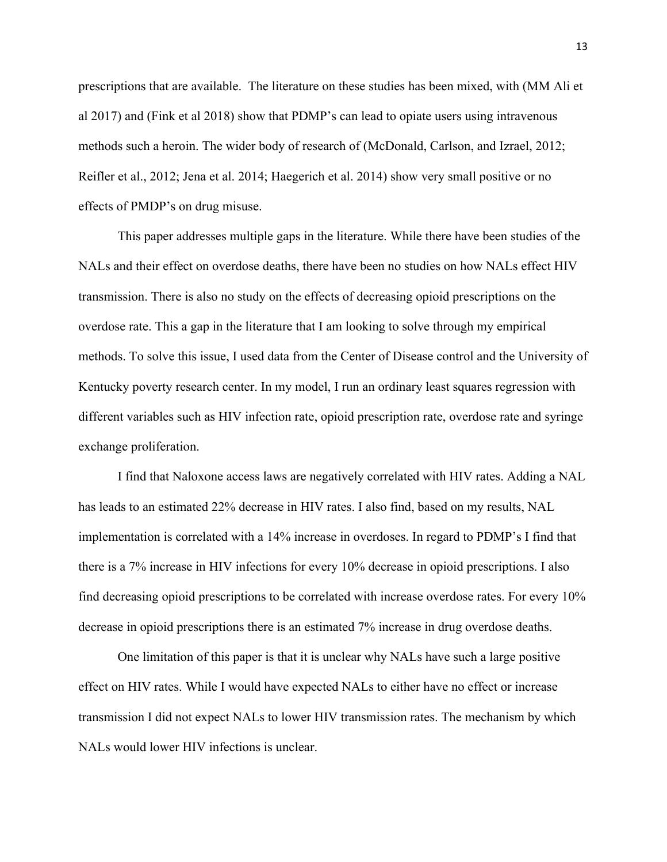prescriptions that are available. The literature on these studies has been mixed, with (MM Ali et al 2017) and (Fink et al 2018) show that PDMP's can lead to opiate users using intravenous methods such a heroin. The wider body of research of (McDonald, Carlson, and Izrael, 2012; Reifler et al., 2012; Jena et al. 2014; Haegerich et al. 2014) show very small positive or no effects of PMDP's on drug misuse.

This paper addresses multiple gaps in the literature. While there have been studies of the NALs and their effect on overdose deaths, there have been no studies on how NALs effect HIV transmission. There is also no study on the effects of decreasing opioid prescriptions on the overdose rate. This a gap in the literature that I am looking to solve through my empirical methods. To solve this issue, I used data from the Center of Disease control and the University of Kentucky poverty research center. In my model, I run an ordinary least squares regression with different variables such as HIV infection rate, opioid prescription rate, overdose rate and syringe exchange proliferation.

I find that Naloxone access laws are negatively correlated with HIV rates. Adding a NAL has leads to an estimated 22% decrease in HIV rates. I also find, based on my results, NAL implementation is correlated with a 14% increase in overdoses. In regard to PDMP's I find that there is a 7% increase in HIV infections for every 10% decrease in opioid prescriptions. I also find decreasing opioid prescriptions to be correlated with increase overdose rates. For every 10% decrease in opioid prescriptions there is an estimated 7% increase in drug overdose deaths.

One limitation of this paper is that it is unclear why NALs have such a large positive effect on HIV rates. While I would have expected NALs to either have no effect or increase transmission I did not expect NALs to lower HIV transmission rates. The mechanism by which NALs would lower HIV infections is unclear.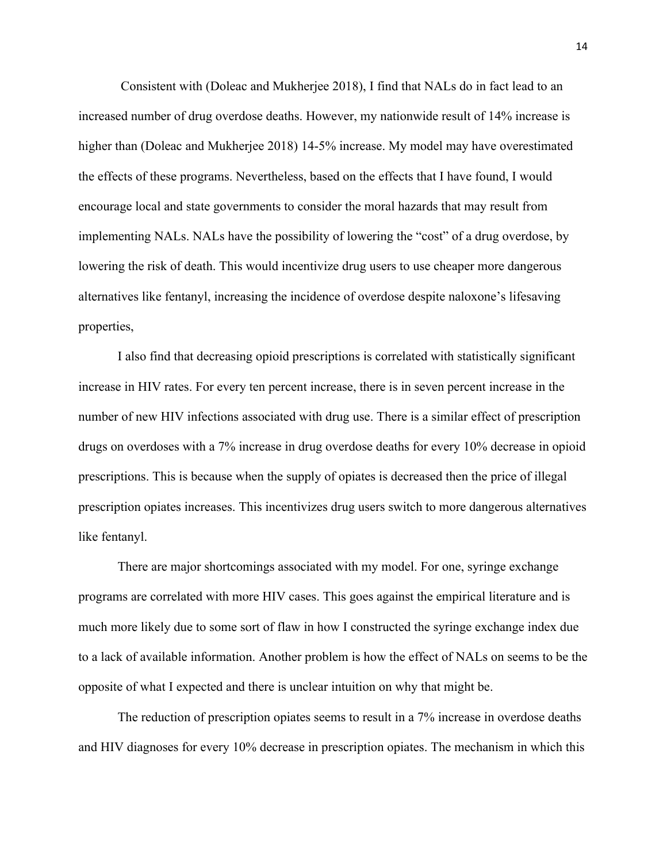Consistent with (Doleac and Mukherjee 2018), I find that NALs do in fact lead to an increased number of drug overdose deaths. However, my nationwide result of 14% increase is higher than (Doleac and Mukherjee 2018) 14-5% increase. My model may have overestimated the effects of these programs. Nevertheless, based on the effects that I have found, I would encourage local and state governments to consider the moral hazards that may result from implementing NALs. NALs have the possibility of lowering the "cost" of a drug overdose, by lowering the risk of death. This would incentivize drug users to use cheaper more dangerous alternatives like fentanyl, increasing the incidence of overdose despite naloxone's lifesaving properties,

I also find that decreasing opioid prescriptions is correlated with statistically significant increase in HIV rates. For every ten percent increase, there is in seven percent increase in the number of new HIV infections associated with drug use. There is a similar effect of prescription drugs on overdoses with a 7% increase in drug overdose deaths for every 10% decrease in opioid prescriptions. This is because when the supply of opiates is decreased then the price of illegal prescription opiates increases. This incentivizes drug users switch to more dangerous alternatives like fentanyl.

There are major shortcomings associated with my model. For one, syringe exchange programs are correlated with more HIV cases. This goes against the empirical literature and is much more likely due to some sort of flaw in how I constructed the syringe exchange index due to a lack of available information. Another problem is how the effect of NALs on seems to be the opposite of what I expected and there is unclear intuition on why that might be.

The reduction of prescription opiates seems to result in a 7% increase in overdose deaths and HIV diagnoses for every 10% decrease in prescription opiates. The mechanism in which this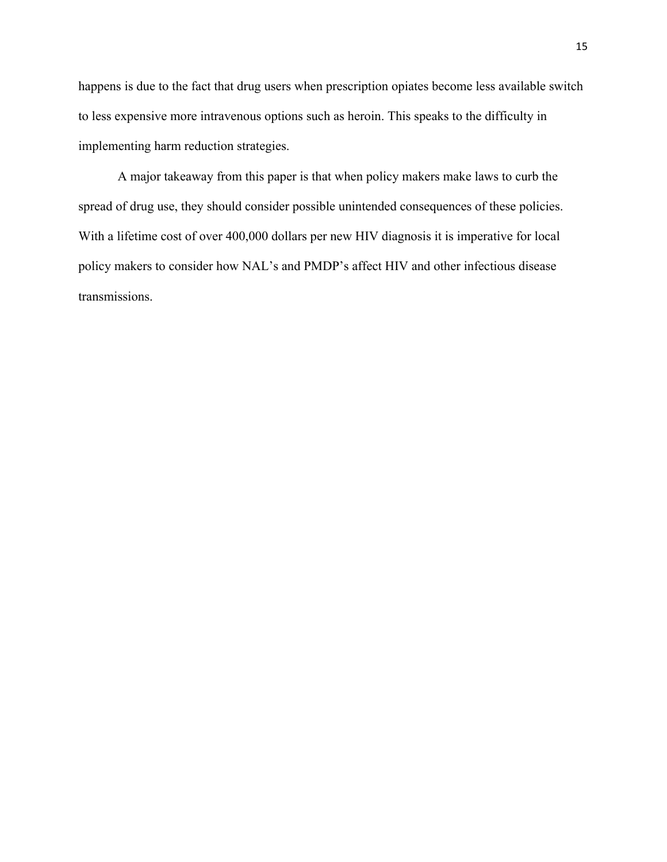happens is due to the fact that drug users when prescription opiates become less available switch to less expensive more intravenous options such as heroin. This speaks to the difficulty in implementing harm reduction strategies.

A major takeaway from this paper is that when policy makers make laws to curb the spread of drug use, they should consider possible unintended consequences of these policies. With a lifetime cost of over 400,000 dollars per new HIV diagnosis it is imperative for local policy makers to consider how NAL's and PMDP's affect HIV and other infectious disease transmissions.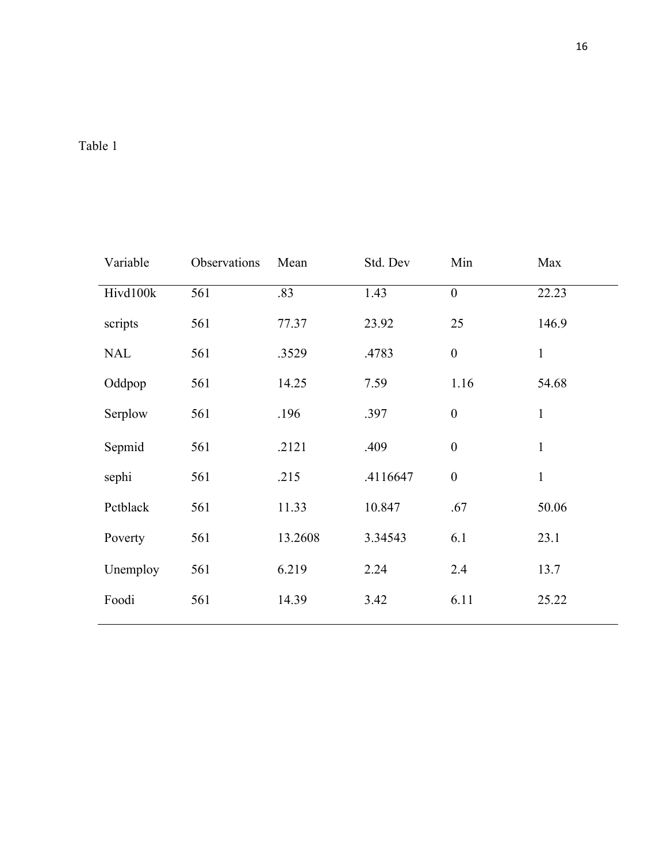## Table 1

| Variable   | Observations | Mean    | Std. Dev | Min              | Max          |
|------------|--------------|---------|----------|------------------|--------------|
| Hivd100k   | 561          | .83     | 1.43     | $\boldsymbol{0}$ | 22.23        |
| scripts    | 561          | 77.37   | 23.92    | 25               | 146.9        |
| <b>NAL</b> | 561          | .3529   | .4783    | $\boldsymbol{0}$ | $\mathbf{1}$ |
| Oddpop     | 561          | 14.25   | 7.59     | 1.16             | 54.68        |
| Serplow    | 561          | .196    | .397     | $\boldsymbol{0}$ | $\mathbf{1}$ |
| Sepmid     | 561          | .2121   | .409     | $\boldsymbol{0}$ | $\mathbf{1}$ |
| sephi      | 561          | .215    | .4116647 | $\boldsymbol{0}$ | $\mathbf{1}$ |
| Pctblack   | 561          | 11.33   | 10.847   | .67              | 50.06        |
| Poverty    | 561          | 13.2608 | 3.34543  | 6.1              | 23.1         |
| Unemploy   | 561          | 6.219   | 2.24     | 2.4              | 13.7         |
| Foodi      | 561          | 14.39   | 3.42     | 6.11             | 25.22        |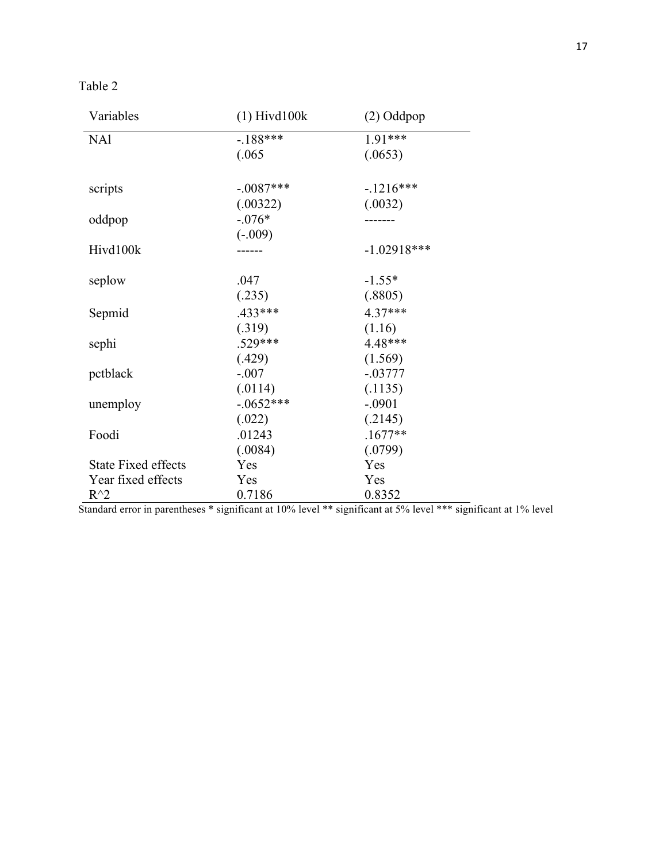| abie |  |
|------|--|
|------|--|

| Variables                  | $(1)$ Hivd $100k$ | $(2)$ Oddpop  |
|----------------------------|-------------------|---------------|
| <b>NA1</b>                 | $-.188***$        | $1.91***$     |
|                            | (.065)            | (.0653)       |
| scripts                    | $-.0087***$       | $-.1216***$   |
|                            | (.00322)          | (.0032)       |
| oddpop                     | $-.076*$          |               |
|                            | $(-.009)$         |               |
| Hivd100k                   |                   | $-1.02918***$ |
| seplow                     | .047              | $-1.55*$      |
|                            | (.235)            | (.8805)       |
| Sepmid                     | $.433***$         | $4.37***$     |
|                            | (.319)            | (1.16)        |
| sephi                      | $.529***$         | 4.48***       |
|                            | (.429)            | (1.569)       |
| pctblack                   | $-.007$           | $-.03777$     |
|                            | (.0114)           | (.1135)       |
| unemploy                   | $-.0652***$       | $-.0901$      |
|                            | (.022)            | (.2145)       |
| Foodi                      | .01243            | $.1677**$     |
|                            | (.0084)           | (.0799)       |
| <b>State Fixed effects</b> | Yes               | Yes           |
| Year fixed effects         | Yes               | Yes           |
| $R^{\wedge}2$              | 0.7186            | 0.8352        |

Standard error in parentheses \* significant at 10% level \*\* significant at 5% level \*\*\* significant at 1% level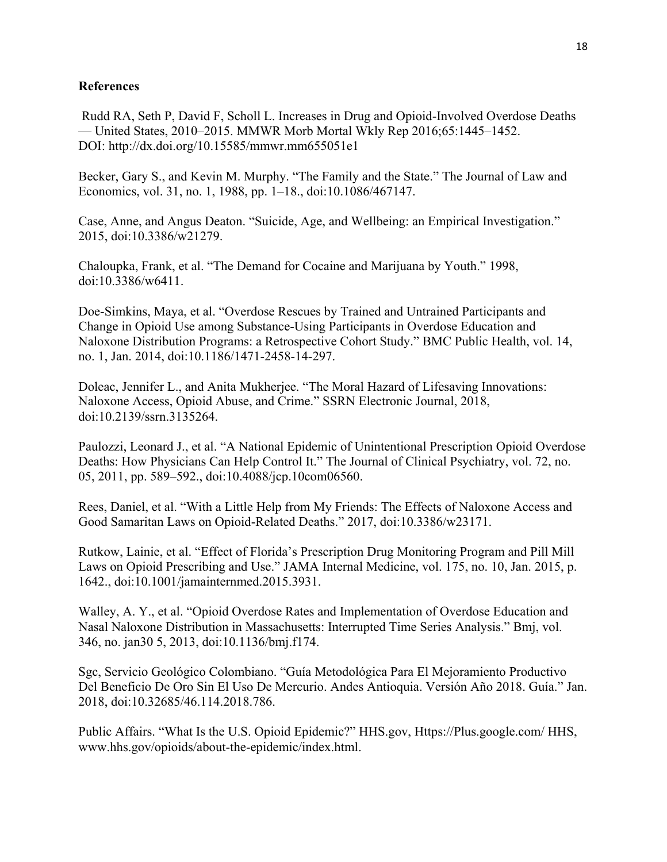### **References**

Rudd RA, Seth P, David F, Scholl L. Increases in Drug and Opioid-Involved Overdose Deaths — United States, 2010–2015. MMWR Morb Mortal Wkly Rep 2016;65:1445–1452. DOI: http://dx.doi.org/10.15585/mmwr.mm655051e1

Becker, Gary S., and Kevin M. Murphy. "The Family and the State." The Journal of Law and Economics, vol. 31, no. 1, 1988, pp. 1–18., doi:10.1086/467147.

Case, Anne, and Angus Deaton. "Suicide, Age, and Wellbeing: an Empirical Investigation." 2015, doi:10.3386/w21279.

Chaloupka, Frank, et al. "The Demand for Cocaine and Marijuana by Youth." 1998, doi:10.3386/w6411.

Doe-Simkins, Maya, et al. "Overdose Rescues by Trained and Untrained Participants and Change in Opioid Use among Substance-Using Participants in Overdose Education and Naloxone Distribution Programs: a Retrospective Cohort Study." BMC Public Health, vol. 14, no. 1, Jan. 2014, doi:10.1186/1471-2458-14-297.

Doleac, Jennifer L., and Anita Mukherjee. "The Moral Hazard of Lifesaving Innovations: Naloxone Access, Opioid Abuse, and Crime." SSRN Electronic Journal, 2018, doi:10.2139/ssrn.3135264.

Paulozzi, Leonard J., et al. "A National Epidemic of Unintentional Prescription Opioid Overdose Deaths: How Physicians Can Help Control It." The Journal of Clinical Psychiatry, vol. 72, no. 05, 2011, pp. 589–592., doi:10.4088/jcp.10com06560.

Rees, Daniel, et al. "With a Little Help from My Friends: The Effects of Naloxone Access and Good Samaritan Laws on Opioid-Related Deaths." 2017, doi:10.3386/w23171.

Rutkow, Lainie, et al. "Effect of Florida's Prescription Drug Monitoring Program and Pill Mill Laws on Opioid Prescribing and Use." JAMA Internal Medicine, vol. 175, no. 10, Jan. 2015, p. 1642., doi:10.1001/jamainternmed.2015.3931.

Walley, A. Y., et al. "Opioid Overdose Rates and Implementation of Overdose Education and Nasal Naloxone Distribution in Massachusetts: Interrupted Time Series Analysis." Bmj, vol. 346, no. jan30 5, 2013, doi:10.1136/bmj.f174.

Sgc, Servicio Geológico Colombiano. "Guía Metodológica Para El Mejoramiento Productivo Del Beneficio De Oro Sin El Uso De Mercurio. Andes Antioquia. Versión Año 2018. Guía." Jan. 2018, doi:10.32685/46.114.2018.786.

Public Affairs. "What Is the U.S. Opioid Epidemic?" HHS.gov, Https://Plus.google.com/ HHS, www.hhs.gov/opioids/about-the-epidemic/index.html.